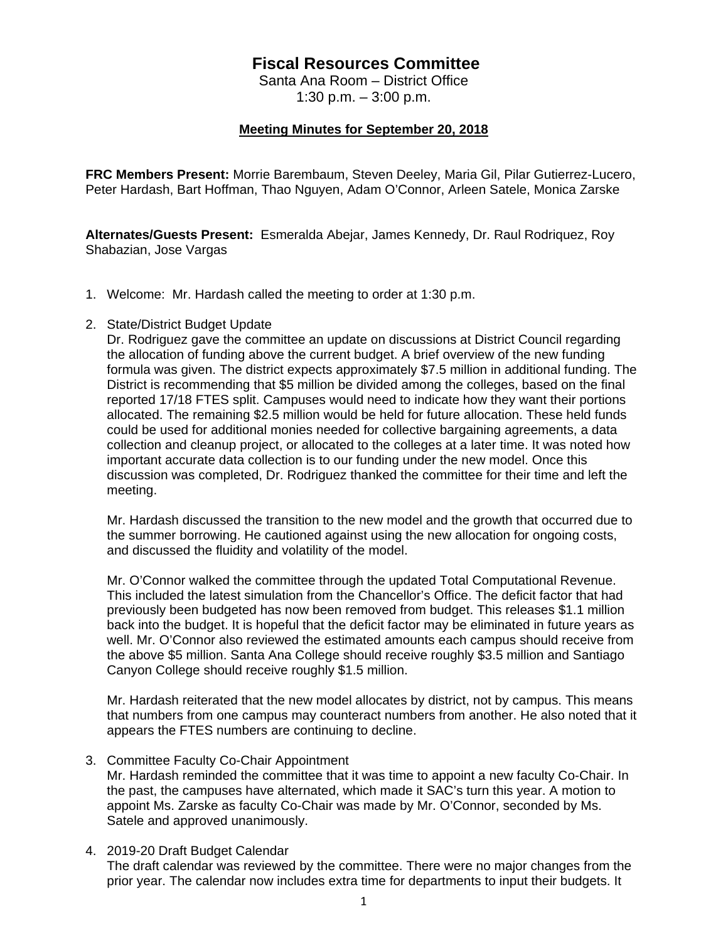## **Fiscal Resources Committee**

Santa Ana Room – District Office 1:30 p.m. – 3:00 p.m.

## **Meeting Minutes for September 20, 2018**

**FRC Members Present:** Morrie Barembaum, Steven Deeley, Maria Gil, Pilar Gutierrez-Lucero, Peter Hardash, Bart Hoffman, Thao Nguyen, Adam O'Connor, Arleen Satele, Monica Zarske

**Alternates/Guests Present:** Esmeralda Abejar, James Kennedy, Dr. Raul Rodriquez, Roy Shabazian, Jose Vargas

- 1. Welcome: Mr. Hardash called the meeting to order at 1:30 p.m.
- 2. State/District Budget Update

Dr. Rodriguez gave the committee an update on discussions at District Council regarding the allocation of funding above the current budget. A brief overview of the new funding formula was given. The district expects approximately \$7.5 million in additional funding. The District is recommending that \$5 million be divided among the colleges, based on the final reported 17/18 FTES split. Campuses would need to indicate how they want their portions allocated. The remaining \$2.5 million would be held for future allocation. These held funds could be used for additional monies needed for collective bargaining agreements, a data collection and cleanup project, or allocated to the colleges at a later time. It was noted how important accurate data collection is to our funding under the new model. Once this discussion was completed, Dr. Rodriguez thanked the committee for their time and left the meeting.

Mr. Hardash discussed the transition to the new model and the growth that occurred due to the summer borrowing. He cautioned against using the new allocation for ongoing costs, and discussed the fluidity and volatility of the model.

Mr. O'Connor walked the committee through the updated Total Computational Revenue. This included the latest simulation from the Chancellor's Office. The deficit factor that had previously been budgeted has now been removed from budget. This releases \$1.1 million back into the budget. It is hopeful that the deficit factor may be eliminated in future years as well. Mr. O'Connor also reviewed the estimated amounts each campus should receive from the above \$5 million. Santa Ana College should receive roughly \$3.5 million and Santiago Canyon College should receive roughly \$1.5 million.

Mr. Hardash reiterated that the new model allocates by district, not by campus. This means that numbers from one campus may counteract numbers from another. He also noted that it appears the FTES numbers are continuing to decline.

3. Committee Faculty Co-Chair Appointment

Mr. Hardash reminded the committee that it was time to appoint a new faculty Co-Chair. In the past, the campuses have alternated, which made it SAC's turn this year. A motion to appoint Ms. Zarske as faculty Co-Chair was made by Mr. O'Connor, seconded by Ms. Satele and approved unanimously.

4. 2019-20 Draft Budget Calendar

The draft calendar was reviewed by the committee. There were no major changes from the prior year. The calendar now includes extra time for departments to input their budgets. It